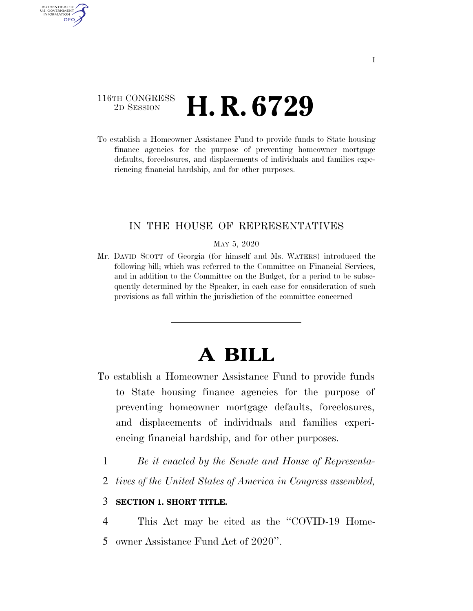## 116TH CONGRESS <sup>2D SESSION</sup> **H. R. 6729**

AUTHENTICATED U.S. GOVERNMENT **GPO** 

> To establish a Homeowner Assistance Fund to provide funds to State housing finance agencies for the purpose of preventing homeowner mortgage defaults, foreclosures, and displacements of individuals and families experiencing financial hardship, and for other purposes.

### IN THE HOUSE OF REPRESENTATIVES

#### MAY 5, 2020

Mr. DAVID SCOTT of Georgia (for himself and Ms. WATERS) introduced the following bill; which was referred to the Committee on Financial Services, and in addition to the Committee on the Budget, for a period to be subsequently determined by the Speaker, in each case for consideration of such provisions as fall within the jurisdiction of the committee concerned

# **A BILL**

- To establish a Homeowner Assistance Fund to provide funds to State housing finance agencies for the purpose of preventing homeowner mortgage defaults, foreclosures, and displacements of individuals and families experiencing financial hardship, and for other purposes.
	- 1 *Be it enacted by the Senate and House of Representa-*
	- 2 *tives of the United States of America in Congress assembled,*

### 3 **SECTION 1. SHORT TITLE.**

4 This Act may be cited as the ''COVID-19 Home-5 owner Assistance Fund Act of 2020''.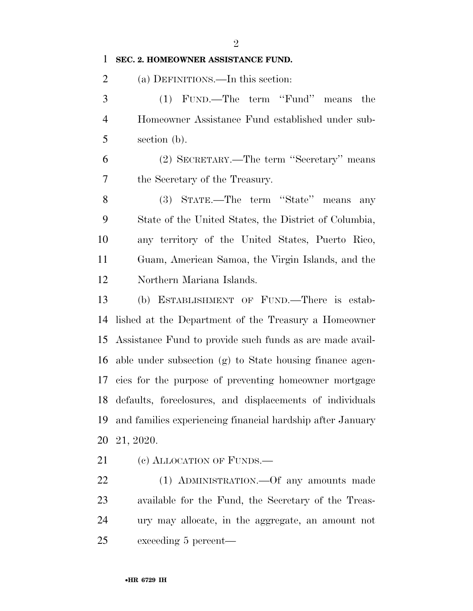### **SEC. 2. HOMEOWNER ASSISTANCE FUND.**

(a) DEFINITIONS.—In this section:

 (1) FUND.—The term ''Fund'' means the Homeowner Assistance Fund established under sub-section (b).

 (2) SECRETARY.—The term ''Secretary'' means the Secretary of the Treasury.

 (3) STATE.—The term ''State'' means any State of the United States, the District of Columbia, any territory of the United States, Puerto Rico, Guam, American Samoa, the Virgin Islands, and the Northern Mariana Islands.

 (b) ESTABLISHMENT OF FUND.—There is estab- lished at the Department of the Treasury a Homeowner Assistance Fund to provide such funds as are made avail- able under subsection (g) to State housing finance agen- cies for the purpose of preventing homeowner mortgage defaults, foreclosures, and displacements of individuals and families experiencing financial hardship after January 21, 2020.

21 (c) ALLOCATION OF FUNDS.—

 (1) ADMINISTRATION.—Of any amounts made available for the Fund, the Secretary of the Treas- ury may allocate, in the aggregate, an amount not exceeding 5 percent—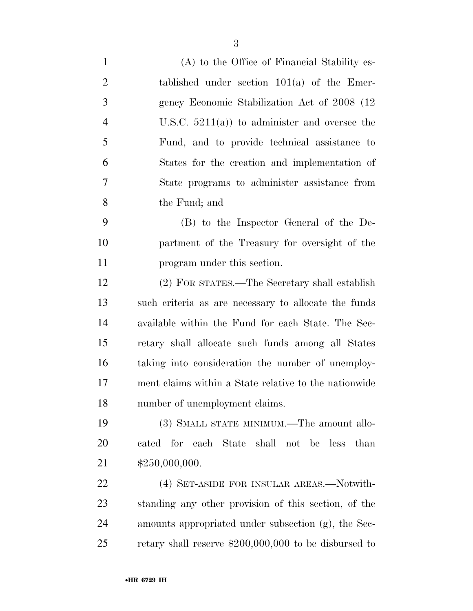- (A) to the Office of Financial Stability es- tablished under section 101(a) of the Emer- gency Economic Stabilization Act of 2008 (12 U.S.C. 5211(a)) to administer and oversee the Fund, and to provide technical assistance to States for the creation and implementation of State programs to administer assistance from the Fund; and
- (B) to the Inspector General of the De- partment of the Treasury for oversight of the program under this section.

 (2) FOR STATES.—The Secretary shall establish such criteria as are necessary to allocate the funds available within the Fund for each State. The Sec- retary shall allocate such funds among all States taking into consideration the number of unemploy- ment claims within a State relative to the nationwide number of unemployment claims.

 (3) SMALL STATE MINIMUM.—The amount allo- cated for each State shall not be less than \$250,000,000.

22 (4) SET-ASIDE FOR INSULAR AREAS.—Notwith- standing any other provision of this section, of the amounts appropriated under subsection (g), the Sec-retary shall reserve \$200,000,000 to be disbursed to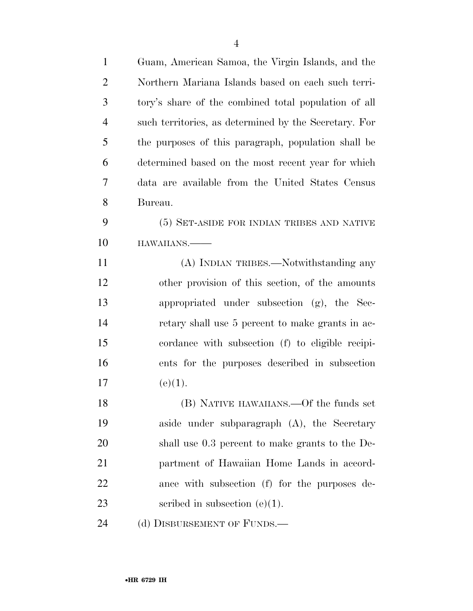| $\mathbf{1}$   | Guam, American Samoa, the Virgin Islands, and the     |
|----------------|-------------------------------------------------------|
| $\overline{2}$ | Northern Mariana Islands based on each such terri-    |
| 3              | tory's share of the combined total population of all  |
| $\overline{4}$ | such territories, as determined by the Secretary. For |
| 5              | the purposes of this paragraph, population shall be   |
| 6              | determined based on the most recent year for which    |
| 7              | data are available from the United States Census      |
| 8              | Bureau.                                               |
| 9              | (5) SET-ASIDE FOR INDIAN TRIBES AND NATIVE            |
| 10             | HAWAIIANS.                                            |
| 11             | (A) INDIAN TRIBES.—Notwithstanding any                |
| 12             | other provision of this section, of the amounts       |
| 13             | appropriated under subsection (g), the Sec-           |
| 14             | retary shall use 5 percent to make grants in ac-      |
| 15             | cordance with subsection (f) to eligible recipi-      |
| 16             | ents for the purposes described in subsection         |
| 17             | (e)(1).                                               |
| 18             | (B) NATIVE HAWAIIANS.—Of the funds set                |
| 19             | aside under subparagraph (A), the Secretary           |
| 20             | shall use 0.3 percent to make grants to the De-       |
| 21             | partment of Hawaiian Home Lands in accord-            |
| 22             | ance with subsection (f) for the purposes de-         |
| 23             | scribed in subsection $(e)(1)$ .                      |
|                |                                                       |

24 (d) DISBURSEMENT OF FUNDS.—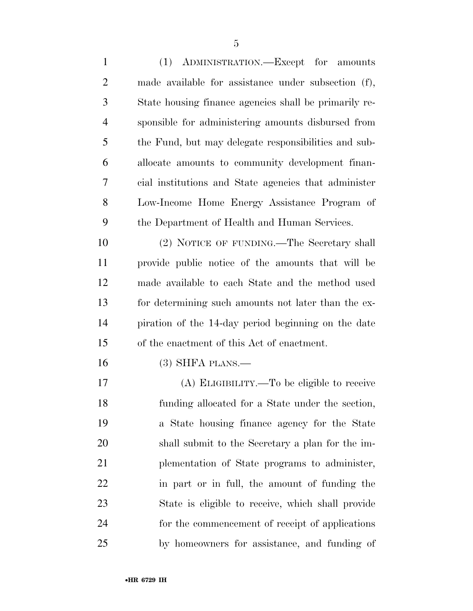(1) ADMINISTRATION.—Except for amounts made available for assistance under subsection (f), State housing finance agencies shall be primarily re- sponsible for administering amounts disbursed from the Fund, but may delegate responsibilities and sub- allocate amounts to community development finan- cial institutions and State agencies that administer Low-Income Home Energy Assistance Program of the Department of Health and Human Services. (2) NOTICE OF FUNDING.—The Secretary shall

 provide public notice of the amounts that will be made available to each State and the method used for determining such amounts not later than the ex- piration of the 14-day period beginning on the date of the enactment of this Act of enactment.

(3) SHFA PLANS.—

 (A) ELIGIBILITY.—To be eligible to receive funding allocated for a State under the section, a State housing finance agency for the State shall submit to the Secretary a plan for the im- plementation of State programs to administer, in part or in full, the amount of funding the State is eligible to receive, which shall provide for the commencement of receipt of applications by homeowners for assistance, and funding of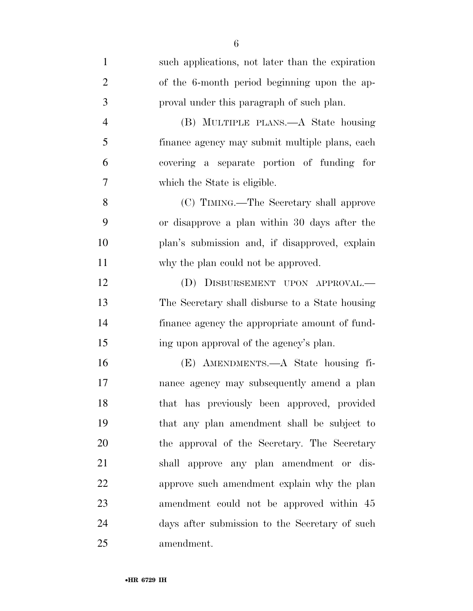| $\mathbf{1}$   | such applications, not later than the expiration |
|----------------|--------------------------------------------------|
| $\overline{2}$ | of the 6-month period beginning upon the ap-     |
| 3              | proval under this paragraph of such plan.        |
| 4              | (B) MULTIPLE PLANS.—A State housing              |
| 5              | finance agency may submit multiple plans, each   |
| 6              | covering a separate portion of funding for       |
| 7              | which the State is eligible.                     |
| 8              | (C) TIMING.—The Secretary shall approve          |
| 9              | or disapprove a plan within 30 days after the    |
| 10             | plan's submission and, if disapproved, explain   |
| 11             | why the plan could not be approved.              |
| 12             | (D) DISBURSEMENT UPON APPROVAL.—                 |
| 13             | The Secretary shall disburse to a State housing  |
| 14             | finance agency the appropriate amount of fund-   |
| 15             | ing upon approval of the agency's plan.          |
| 16             | (E) AMENDMENTS.—A State housing fi-              |
| 17             | nance agency may subsequently amend a plan       |
| 18             | that has previously been approved, provided      |
| 19             | that any plan amendment shall be subject to      |
| 20             | the approval of the Secretary. The Secretary     |
| 21             | shall approve any plan amendment or dis-         |
| 22             | approve such amendment explain why the plan      |
| 23             | amendment could not be approved within 45        |
| 24             | days after submission to the Secretary of such   |
| 25             | amendment.                                       |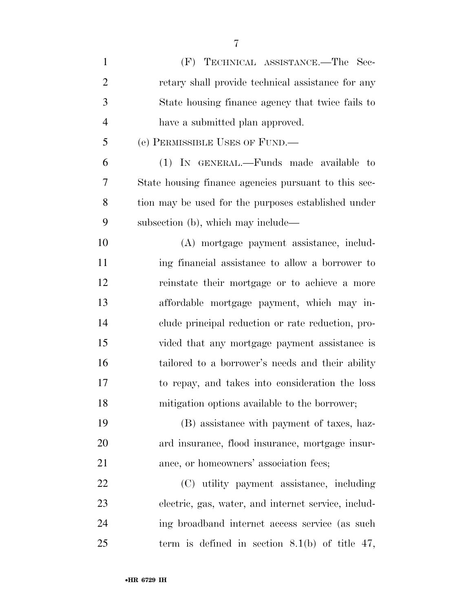| $\mathbf{1}$   | (F) TECHNICAL ASSISTANCE.—The Sec-                   |
|----------------|------------------------------------------------------|
| $\overline{2}$ | retary shall provide technical assistance for any    |
| 3              | State housing finance agency that twice fails to     |
| 4              | have a submitted plan approved.                      |
| 5              | (e) PERMISSIBLE USES OF FUND.—                       |
| 6              | (1) IN GENERAL.—Funds made available to              |
| 7              | State housing finance agencies pursuant to this sec- |
| 8              | tion may be used for the purposes established under  |
| 9              | subsection (b), which may include—                   |
| 10             | (A) mortgage payment assistance, includ-             |
| 11             | ing financial assistance to allow a borrower to      |
| 12             | reinstate their mortgage or to achieve a more        |
| 13             | affordable mortgage payment, which may in-           |
| 14             | clude principal reduction or rate reduction, pro-    |
| 15             | vided that any mortgage payment assistance is        |
| 16             | tailored to a borrower's needs and their ability     |
| 17             | to repay, and takes into consideration the loss      |
| 18             | mitigation options available to the borrower;        |
| 19             | (B) assistance with payment of taxes, haz-           |
| 20             | ard insurance, flood insurance, mortgage insur-      |
| 21             | ance, or homeowners' association fees;               |
| 22             | (C) utility payment assistance, including            |
| 23             | electric, gas, water, and internet service, includ-  |
| 24             | ing broadband internet access service (as such       |
| 25             | term is defined in section $8.1(b)$ of title 47,     |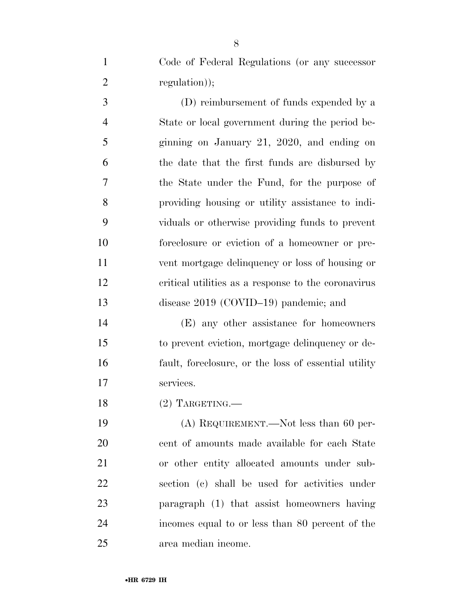Code of Federal Regulations (or any successor 2 regulation);

 (D) reimbursement of funds expended by a State or local government during the period be- ginning on January 21, 2020, and ending on the date that the first funds are disbursed by the State under the Fund, for the purpose of providing housing or utility assistance to indi- viduals or otherwise providing funds to prevent foreclosure or eviction of a homeowner or pre- vent mortgage delinquency or loss of housing or critical utilities as a response to the coronavirus disease 2019 (COVID–19) pandemic; and

 (E) any other assistance for homeowners to prevent eviction, mortgage delinquency or de- fault, foreclosure, or the loss of essential utility services.

(2) TARGETING.—

 (A) REQUIREMENT.—Not less than 60 per- cent of amounts made available for each State or other entity allocated amounts under sub- section (c) shall be used for activities under paragraph (1) that assist homeowners having incomes equal to or less than 80 percent of the area median income.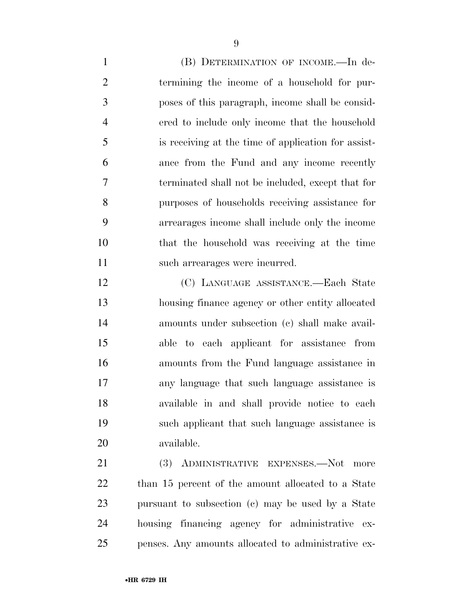(B) DETERMINATION OF INCOME.—In de- termining the income of a household for pur- poses of this paragraph, income shall be consid- ered to include only income that the household is receiving at the time of application for assist- ance from the Fund and any income recently terminated shall not be included, except that for purposes of households receiving assistance for arrearages income shall include only the income that the household was receiving at the time such arrearages were incurred.

 (C) LANGUAGE ASSISTANCE.—Each State housing finance agency or other entity allocated amounts under subsection (c) shall make avail- able to each applicant for assistance from amounts from the Fund language assistance in any language that such language assistance is available in and shall provide notice to each such applicant that such language assistance is available.

21 (3) ADMINISTRATIVE EXPENSES.—Not more than 15 percent of the amount allocated to a State pursuant to subsection (c) may be used by a State housing financing agency for administrative ex-penses. Any amounts allocated to administrative ex-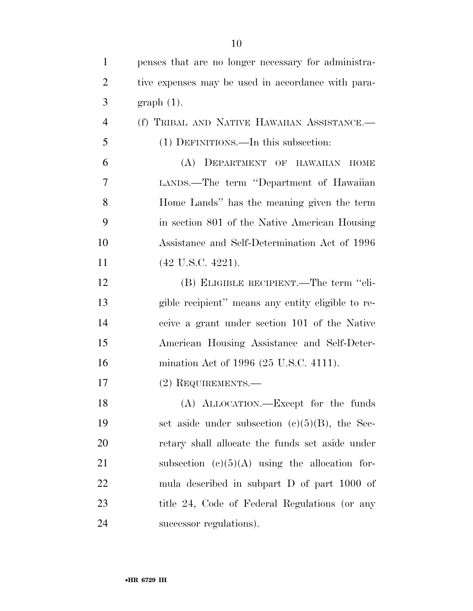| 1              | penses that are no longer necessary for administra- |
|----------------|-----------------------------------------------------|
| $\overline{2}$ | tive expenses may be used in accordance with para-  |
| 3              | $graph(1)$ .                                        |
| $\overline{4}$ | (f) TRIBAL AND NATIVE HAWAIIAN ASSISTANCE.-         |
| 5              | (1) DEFINITIONS.—In this subsection:                |
| 6              | (A) DEPARTMENT OF HAWAIIAN HOME                     |
| 7              | LANDS.—The term "Department of Hawaiian             |
| 8              | Home Lands" has the meaning given the term          |
| 9              | in section 801 of the Native American Housing       |
| 10             | Assistance and Self-Determination Act of 1996       |
| 11             | $(42 \text{ U.S.C. } 4221).$                        |
| 12             | (B) ELIGIBLE RECIPIENT.—The term "eli-              |
| 13             | gible recipient" means any entity eligible to re-   |
| 14             | ceive a grant under section 101 of the Native       |
| 15             | American Housing Assistance and Self-Deter-         |
| 16             | mination Act of 1996 (25 U.S.C. 4111).              |
| 17             | (2) REQUIREMENTS.—                                  |
| 18             | (A) ALLOCATION.—Except for the funds                |
| 19             | set aside under subsection $(c)(5)(B)$ , the Sec-   |
| 20             | retary shall allocate the funds set aside under     |
| 21             | subsection $(c)(5)(A)$ using the allocation for-    |
| 22             | mula described in subpart D of part 1000 of         |
| 23             | title 24, Code of Federal Regulations (or any       |
| 24             | successor regulations).                             |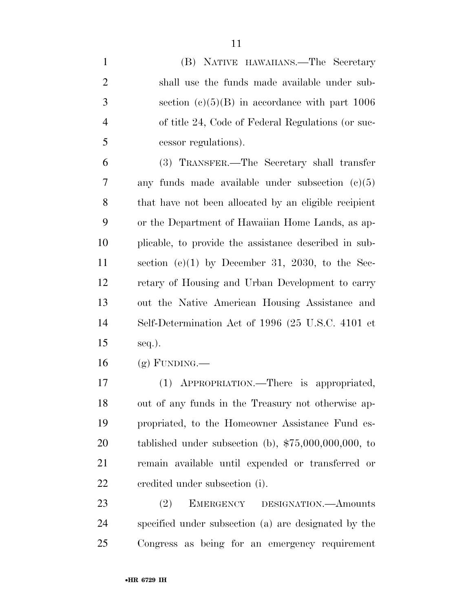| $\mathbf{1}$   | (B) NATIVE HAWAIIANS.—The Secretary                    |
|----------------|--------------------------------------------------------|
| $\overline{2}$ | shall use the funds made available under sub-          |
| 3              | section $(c)(5)(B)$ in accordance with part 1006       |
| $\overline{4}$ | of title 24, Code of Federal Regulations (or suc-      |
| 5              | cessor regulations).                                   |
| 6              | (3) TRANSFER.—The Secretary shall transfer             |
| 7              | any funds made available under subsection $(c)(5)$     |
| 8              | that have not been allocated by an eligible recipient  |
| 9              | or the Department of Hawaiian Home Lands, as ap-       |
| 10             | plicable, to provide the assistance described in sub-  |
| 11             | section (e)(1) by December 31, 2030, to the Sec-       |
| 12             | retary of Housing and Urban Development to carry       |
| 13             | out the Native American Housing Assistance and         |
| 14             | Self-Determination Act of 1996 (25 U.S.C. 4101 et      |
| 15             | $seq.$ ).                                              |
| 16             | $(g)$ FUNDING.—                                        |
| 17             | (1) APPROPRIATION.—There is appropriated,              |
| 18             | out of any funds in the Treasury not otherwise ap-     |
| 19             | propriated, to the Homeowner Assistance Fund es-       |
| 20             | tablished under subsection (b), $$75,000,000,000$ , to |
| 21             | remain available until expended or transferred or      |
| 22             | eredited under subsection (i).                         |
| 23             | EMERGENCY DESIGNATION. Amounts<br>(2)                  |
| 24             | specified under subsection (a) are designated by the   |
| 25             | Congress as being for an emergency requirement         |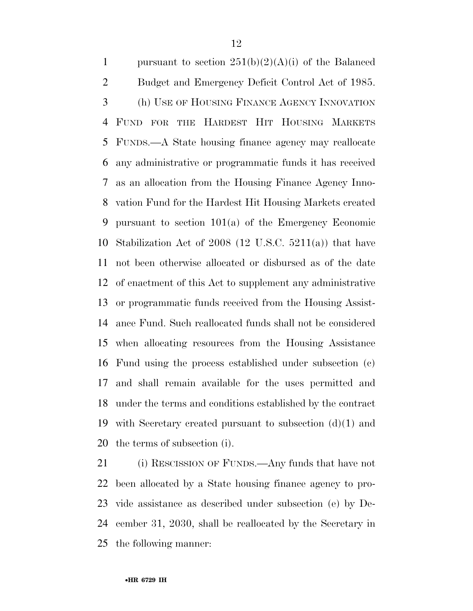1 pursuant to section  $251(b)(2)(A)(i)$  of the Balanced Budget and Emergency Deficit Control Act of 1985. (h) USE OF HOUSING FINANCE AGENCY INNOVATION FUND FOR THE HARDEST HIT HOUSING MARKETS FUNDS.—A State housing finance agency may reallocate any administrative or programmatic funds it has received as an allocation from the Housing Finance Agency Inno- vation Fund for the Hardest Hit Housing Markets created pursuant to section 101(a) of the Emergency Economic Stabilization Act of 2008 (12 U.S.C. 5211(a)) that have not been otherwise allocated or disbursed as of the date of enactment of this Act to supplement any administrative or programmatic funds received from the Housing Assist- ance Fund. Such reallocated funds shall not be considered when allocating resources from the Housing Assistance Fund using the process established under subsection (c) and shall remain available for the uses permitted and under the terms and conditions established by the contract with Secretary created pursuant to subsection (d)(1) and the terms of subsection (i).

 (i) RESCISSION OF FUNDS.—Any funds that have not been allocated by a State housing finance agency to pro- vide assistance as described under subsection (e) by De- cember 31, 2030, shall be reallocated by the Secretary in the following manner: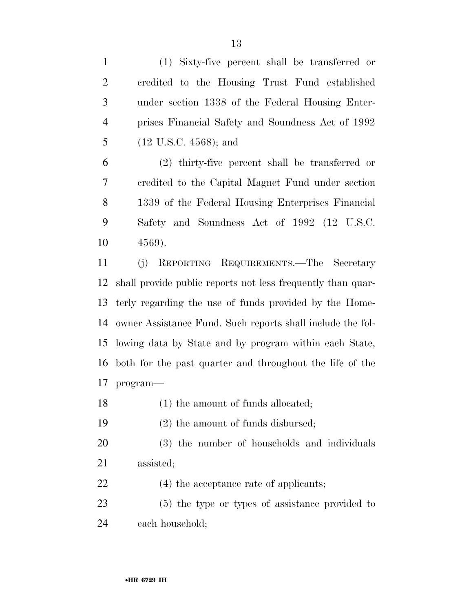(1) Sixty-five percent shall be transferred or credited to the Housing Trust Fund established under section 1338 of the Federal Housing Enter- prises Financial Safety and Soundness Act of 1992 (12 U.S.C. 4568); and

 (2) thirty-five percent shall be transferred or credited to the Capital Magnet Fund under section 1339 of the Federal Housing Enterprises Financial Safety and Soundness Act of 1992 (12 U.S.C. 4569).

 (j) REPORTING REQUIREMENTS.—The Secretary shall provide public reports not less frequently than quar- terly regarding the use of funds provided by the Home- owner Assistance Fund. Such reports shall include the fol- lowing data by State and by program within each State, both for the past quarter and throughout the life of the program—

18 (1) the amount of funds allocated;

(2) the amount of funds disbursed;

- (3) the number of households and individuals assisted;
- 22 (4) the acceptance rate of applicants;

 (5) the type or types of assistance provided to each household;